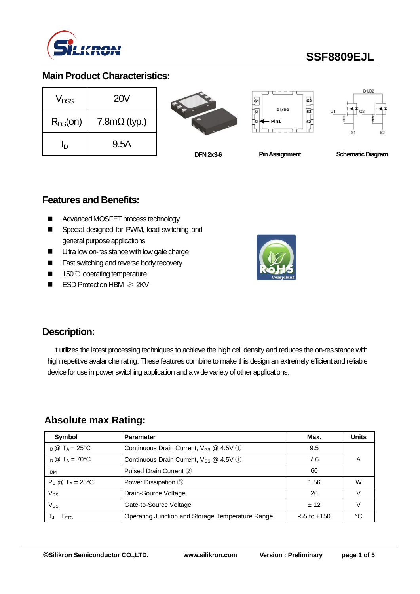

# **SSF8809EJL**

### **Main Product Characteristics:**

| $V_{DSS}$    | <b>20V</b>          |
|--------------|---------------------|
| $R_{DS}(on)$ | $7.8m\Omega$ (typ.) |
| ln           | 9.5A                |







**DFN 2x3-6**

**Pin Assignment Schematic Diagram** 

### **Features and Benefits:**

- Advanced MOSFET process technology
- Special designed for PWM, load switching and general purpose applications
- Ultra low on-resistance with low gate charge
- Fast switching and reverse body recovery
- 150℃ operating temperature
- ESD Protection HBM ≥ 2KV



### **Description:**

It utilizes the latest processing techniques to achieve the high cell density and reduces the on-resistance with high repetitive avalanche rating. These features combine to make this design an extremely efficient and reliable device for use in power switching application and a wide variety of other applications.

### **Absolute max Rating:**

| Symbol                     | <b>Parameter</b>                                   | Max.            | <b>Units</b> |
|----------------------------|----------------------------------------------------|-----------------|--------------|
| $I_D @ T_A = 25$ °C        | Continuous Drain Current, $V_{GS}$ @ 4.5V (1)      | 9.5             |              |
| $I_D \otimes T_A = 70$ °C  | Continuous Drain Current, V <sub>GS</sub> @ 4.5V 1 | 7.6             | А            |
| <b>I</b> <sub>DM</sub>     | Pulsed Drain Current 2                             | 60              |              |
| $P_D @ T_A = 25^{\circ}C$  | Power Dissipation 3                                | 1.56            | W            |
| Vps                        | Drain-Source Voltage                               | 20              |              |
| $\mathsf{V}_{\mathsf{GS}}$ | Gate-to-Source Voltage                             | $+12$           |              |
| I STG                      | Operating Junction and Storage Temperature Range   | $-55$ to $+150$ | °∩           |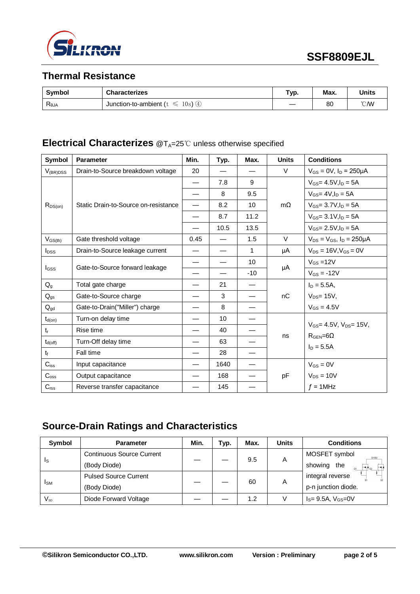

## **Thermal Resistance**

| Symbol         | <b>Characterizes</b>             | Typ. | Max. | <b>Units</b>   |
|----------------|----------------------------------|------|------|----------------|
| $R_{\theta$ JA | 10s)<br>Junction-to-ambient<br>ఆ |      | 80   | $^{\circ}$ CMV |

### **Electrical Characterizes** @T<sub>A</sub>=25℃ unless otherwise specified

| Symbol              | <b>Parameter</b>                     | Min.                     | Typ. | Max.  | <b>Units</b> | <b>Conditions</b>                          |
|---------------------|--------------------------------------|--------------------------|------|-------|--------------|--------------------------------------------|
| $V_{(BR)DSS}$       | Drain-to-Source breakdown voltage    | 20                       |      |       | $\vee$       | $V_{GS} = 0V$ , $I_D = 250 \mu A$          |
|                     |                                      |                          | 7.8  | 9     |              | $V_{GS} = 4.5 V, I_D = 5A$                 |
|                     |                                      |                          | 8    | 9.5   |              | $V$ <sub>GS</sub> = 4V.I <sub>D</sub> = 5A |
| $R_{DS(on)}$        | Static Drain-to-Source on-resistance | $\overline{\phantom{0}}$ | 8.2  | 10    | $m\Omega$    | $V_{GS} = 3.7 V, I_D = 5A$                 |
|                     |                                      |                          | 8.7  | 11.2  |              | $V_{GS} = 3.1 V \cdot \ln 5 = 5A$          |
|                     |                                      |                          | 10.5 | 13.5  |              | $V_{GS} = 2.5V, I_D = 5A$                  |
| $V_{GS(th)}$        | Gate threshold voltage               | 0.45                     |      | 1.5   | $\vee$       | $V_{DS} = V_{GS}$ , $I_D = 250 \mu A$      |
| $I_{DSS}$           | Drain-to-Source leakage current      |                          |      | 1     | μA           | $V_{DS} = 16V, V_{GS} = 0V$                |
|                     |                                      | —                        |      | 10    |              | $V_{GS}$ =12V                              |
| <b>I</b> GSS        | Gate-to-Source forward leakage       |                          |      | $-10$ | μA           | $V_{GS} = -12V$                            |
| $Q_{g}$             | Total gate charge                    |                          | 21   |       |              | $I_D = 5.5A$ ,                             |
| $Q_{gs}$            | Gate-to-Source charge                |                          | 3    |       | nC           | $V_{DS}$ = 15V,                            |
| $Q_{gd}$            | Gate-to-Drain("Miller") charge       |                          | 8    |       |              | $V_{GS} = 4.5V$                            |
| $t_{d(on)}$         | Turn-on delay time                   |                          | 10   |       |              |                                            |
| $t_{r}$             | Rise time                            |                          | 40   |       |              | $V_{GS} = 4.5V$ , $V_{DS} = 15V$ ,         |
| $t_{d(\text{off})}$ | Turn-Off delay time                  |                          | 63   |       | ns           | $R_{\text{GEN}} = 6\Omega$<br>$I_D = 5.5A$ |
| t <sub>f</sub>      | Fall time                            |                          | 28   |       |              |                                            |
| $C_{iss}$           | Input capacitance                    |                          | 1640 |       |              | $V_{GS} = 0V$                              |
| $C_{\rm oss}$       | Output capacitance                   |                          | 168  |       | pF           | $V_{DS} = 10V$                             |
| $C_{\text{rss}}$    | Reverse transfer capacitance         |                          | 145  |       |              | $f = 1$ MHz                                |

## **Source-Drain Ratings and Characteristics**

| Symbol                 | <b>Parameter</b>                 | Min. | Typ. | Max. | <b>Units</b> | <b>Conditions</b>                     |
|------------------------|----------------------------------|------|------|------|--------------|---------------------------------------|
|                        | <b>Continuous Source Current</b> |      |      | 9.5  |              | MOSFET symbol<br>D1/D2                |
| Is                     | (Body Diode)                     |      |      |      | A            | showing<br>the<br>⊢≼≭<br>$\mathbf{G}$ |
|                        | <b>Pulsed Source Current</b>     |      |      | 60   |              | integral reverse                      |
| <b>I</b> <sub>SM</sub> | (Body Diode)                     |      |      |      | A            | p-n junction diode.                   |
| $V_{\textrm{SD}}$      | Diode Forward Voltage            |      |      | 1.2  |              | $I_S = 9.5A, V_{GS} = 0V$             |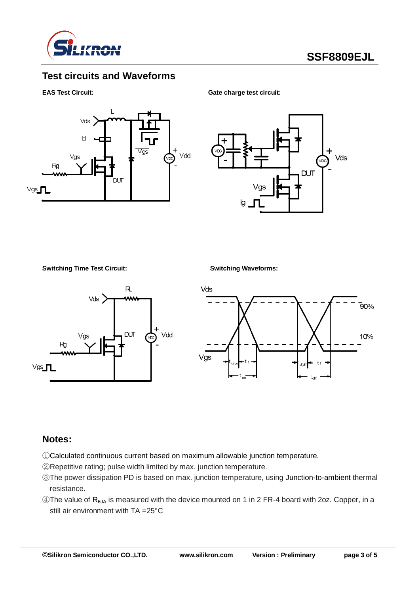

### **Test circuits and Waveforms**

**EAS Test Circuit:** Gate charge test circuit:





**Switching Time Test Circuit: Switching Waveforms:**





#### **Notes:**

- ①Calculated continuous current based on maximum allowable junction temperature.
- ②Repetitive rating; pulse width limited by max. junction temperature.
- ③The power dissipation PD is based on max. junction temperature, using Junction-to-ambient thermal resistance.
- $\circledA$ The value of R<sub>θJA</sub> is measured with the device mounted on 1 in 2 FR-4 board with 2oz. Copper, in a still air environment with TA =25°C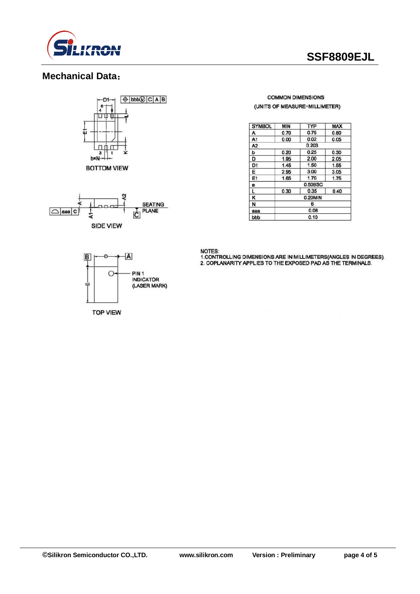

## **SSF8809EJL**

### **Mechanical Data**:





#### **COMMON DIMENSIONS** (UNITS OF MEASURE=MILLIMETER)

| <b>SYMBOL</b>  | MIN     | TYP  | <b>MAX</b> |  |  |
|----------------|---------|------|------------|--|--|
| Α              | 0.70    | 0.75 | 0.80       |  |  |
| A1             | 0.00    | 0.02 | 0.05       |  |  |
| A <sub>2</sub> | 0.203   |      |            |  |  |
| Þ              | 0.20    | 0.25 | 0.30       |  |  |
| D              | 1.95    | 2.00 | 2.05       |  |  |
| D <sub>1</sub> | 1.45    | 1.50 | 1.55       |  |  |
| Ε              | 2.95    | 3.00 | 3.05       |  |  |
| E1             | 1.65    | 1.70 | 1.75       |  |  |
| $\bullet$      | 0.50BSC |      |            |  |  |
| L              | 0.30    | 0.35 | 0.40       |  |  |
| κ              | 0.20MIN |      |            |  |  |
| N              | 6       |      |            |  |  |
| aaa            | 0.08    |      |            |  |  |
| bbb            | 0.10    |      |            |  |  |

**NOTES:** 

1. CONTROLLING DIMENSIONS ARE IN MILLIMETERS(ANGLES IN DEGREES).<br>2. COPLANARITY APPLIES TO THE EXPOSED PAD AS THE TERMINALS.



**TOP VIEW**